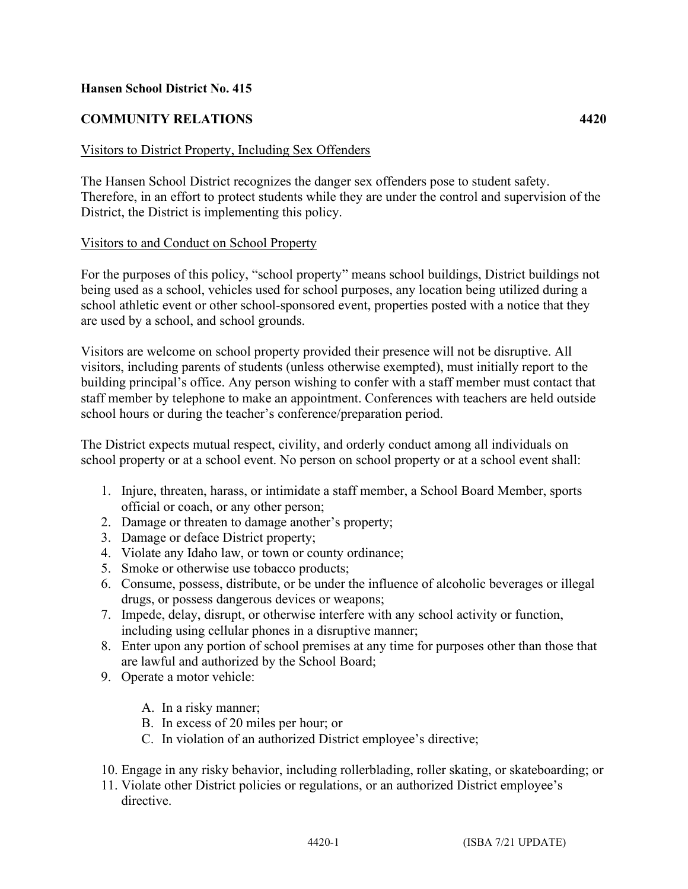#### **Hansen School District No. 415**

# **COMMUNITY RELATIONS 4420**

#### Visitors to District Property, Including Sex Offenders

The Hansen School District recognizes the danger sex offenders pose to student safety. Therefore, in an effort to protect students while they are under the control and supervision of the District, the District is implementing this policy.

#### Visitors to and Conduct on School Property

For the purposes of this policy, "school property" means school buildings, District buildings not being used as a school, vehicles used for school purposes, any location being utilized during a school athletic event or other school-sponsored event, properties posted with a notice that they are used by a school, and school grounds.

Visitors are welcome on school property provided their presence will not be disruptive. All visitors, including parents of students (unless otherwise exempted), must initially report to the building principal's office. Any person wishing to confer with a staff member must contact that staff member by telephone to make an appointment. Conferences with teachers are held outside school hours or during the teacher's conference/preparation period.

The District expects mutual respect, civility, and orderly conduct among all individuals on school property or at a school event. No person on school property or at a school event shall:

- 1. Injure, threaten, harass, or intimidate a staff member, a School Board Member, sports official or coach, or any other person;
- 2. Damage or threaten to damage another's property;
- 3. Damage or deface District property;
- 4. Violate any Idaho law, or town or county ordinance;
- 5. Smoke or otherwise use tobacco products;
- 6. Consume, possess, distribute, or be under the influence of alcoholic beverages or illegal drugs, or possess dangerous devices or weapons;
- 7. Impede, delay, disrupt, or otherwise interfere with any school activity or function, including using cellular phones in a disruptive manner;
- 8. Enter upon any portion of school premises at any time for purposes other than those that are lawful and authorized by the School Board;
- 9. Operate a motor vehicle:
	- A. In a risky manner;
	- B. In excess of 20 miles per hour; or
	- C. In violation of an authorized District employee's directive;
- 10. Engage in any risky behavior, including rollerblading, roller skating, or skateboarding; or
- 11. Violate other District policies or regulations, or an authorized District employee's directive.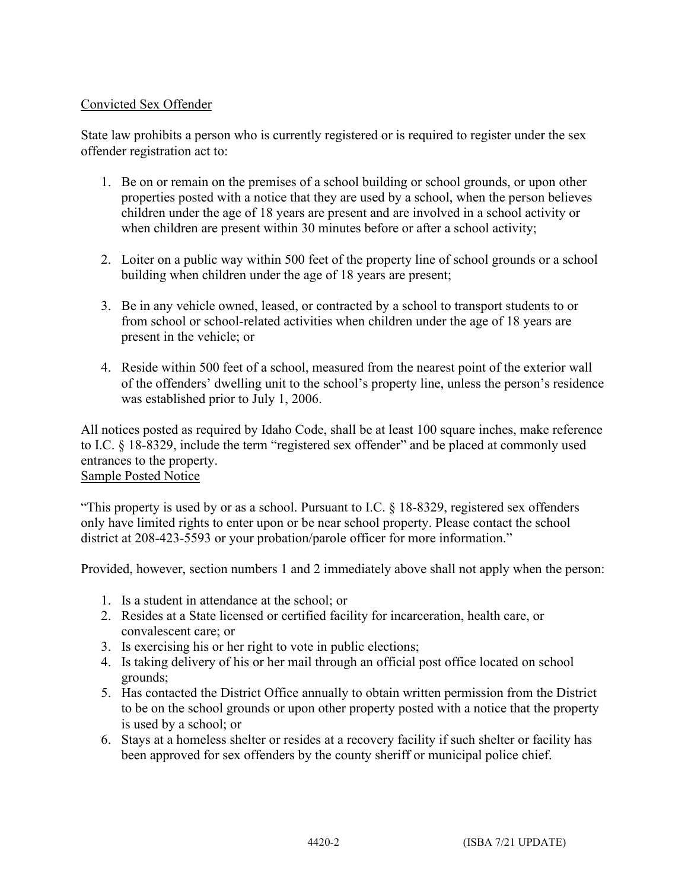## Convicted Sex Offender

State law prohibits a person who is currently registered or is required to register under the sex offender registration act to:

- 1. Be on or remain on the premises of a school building or school grounds, or upon other properties posted with a notice that they are used by a school, when the person believes children under the age of 18 years are present and are involved in a school activity or when children are present within 30 minutes before or after a school activity;
- 2. Loiter on a public way within 500 feet of the property line of school grounds or a school building when children under the age of 18 years are present;
- 3. Be in any vehicle owned, leased, or contracted by a school to transport students to or from school or school-related activities when children under the age of 18 years are present in the vehicle; or
- 4. Reside within 500 feet of a school, measured from the nearest point of the exterior wall of the offenders' dwelling unit to the school's property line, unless the person's residence was established prior to July 1, 2006.

All notices posted as required by Idaho Code, shall be at least 100 square inches, make reference to I.C. § 18-8329, include the term "registered sex offender" and be placed at commonly used entrances to the property. Sample Posted Notice

"This property is used by or as a school. Pursuant to I.C. § 18-8329, registered sex offenders only have limited rights to enter upon or be near school property. Please contact the school district at 208-423-5593 or your probation/parole officer for more information."

Provided, however, section numbers 1 and 2 immediately above shall not apply when the person:

- 1. Is a student in attendance at the school; or
- 2. Resides at a State licensed or certified facility for incarceration, health care, or convalescent care; or
- 3. Is exercising his or her right to vote in public elections;
- 4. Is taking delivery of his or her mail through an official post office located on school grounds;
- 5. Has contacted the District Office annually to obtain written permission from the District to be on the school grounds or upon other property posted with a notice that the property is used by a school; or
- 6. Stays at a homeless shelter or resides at a recovery facility if such shelter or facility has been approved for sex offenders by the county sheriff or municipal police chief.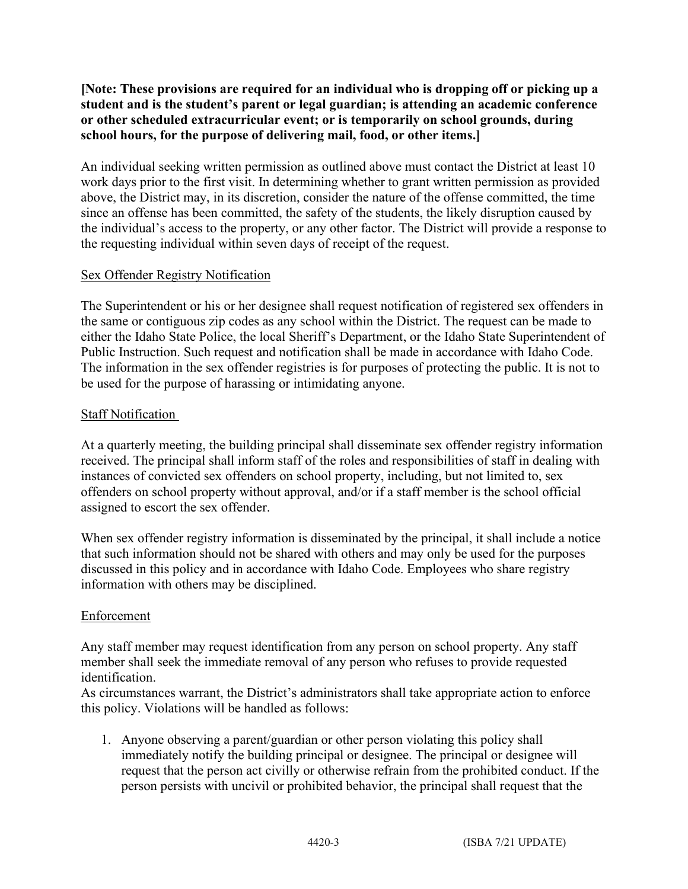**[Note: These provisions are required for an individual who is dropping off or picking up a student and is the student's parent or legal guardian; is attending an academic conference or other scheduled extracurricular event; or is temporarily on school grounds, during school hours, for the purpose of delivering mail, food, or other items.]**

An individual seeking written permission as outlined above must contact the District at least 10 work days prior to the first visit. In determining whether to grant written permission as provided above, the District may, in its discretion, consider the nature of the offense committed, the time since an offense has been committed, the safety of the students, the likely disruption caused by the individual's access to the property, or any other factor. The District will provide a response to the requesting individual within seven days of receipt of the request.

## Sex Offender Registry Notification

The Superintendent or his or her designee shall request notification of registered sex offenders in the same or contiguous zip codes as any school within the District. The request can be made to either the Idaho State Police, the local Sheriff's Department, or the Idaho State Superintendent of Public Instruction. Such request and notification shall be made in accordance with Idaho Code. The information in the sex offender registries is for purposes of protecting the public. It is not to be used for the purpose of harassing or intimidating anyone.

## Staff Notification

At a quarterly meeting, the building principal shall disseminate sex offender registry information received. The principal shall inform staff of the roles and responsibilities of staff in dealing with instances of convicted sex offenders on school property, including, but not limited to, sex offenders on school property without approval, and/or if a staff member is the school official assigned to escort the sex offender.

When sex offender registry information is disseminated by the principal, it shall include a notice that such information should not be shared with others and may only be used for the purposes discussed in this policy and in accordance with Idaho Code. Employees who share registry information with others may be disciplined.

#### Enforcement

Any staff member may request identification from any person on school property. Any staff member shall seek the immediate removal of any person who refuses to provide requested identification.

As circumstances warrant, the District's administrators shall take appropriate action to enforce this policy. Violations will be handled as follows:

1. Anyone observing a parent/guardian or other person violating this policy shall immediately notify the building principal or designee. The principal or designee will request that the person act civilly or otherwise refrain from the prohibited conduct. If the person persists with uncivil or prohibited behavior, the principal shall request that the